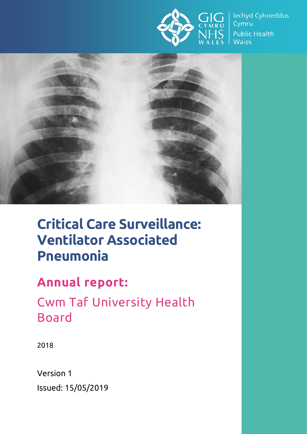

lechyd Cyhoeddus Cymru **Public Health Wales** 



# **Critical Care Surveillance: Ventilator Associated Pneumonia**

## **Annual report:**

Cwm Taf University Health Board

2018

Version 1 Issued: 15/05/2019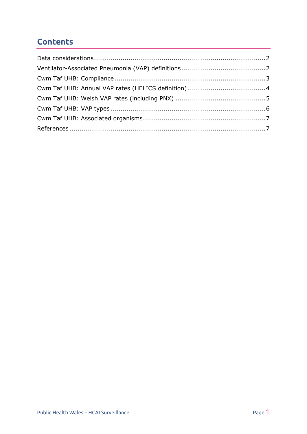### **Contents**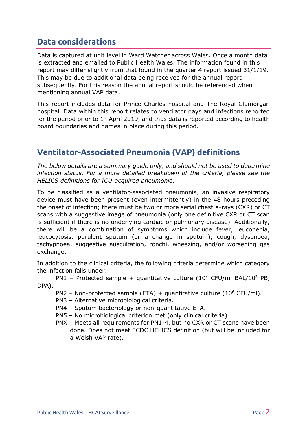#### <span id="page-2-0"></span>**Data considerations**

Data is captured at unit level in Ward Watcher across Wales. Once a month data is extracted and emailed to Public Health Wales. The information found in this report may differ slightly from that found in the quarter 4 report issued 31/1/19. This may be due to additional data being received for the annual report subsequently. For this reason the annual report should be referenced when mentioning annual VAP data.

This report includes data for Prince Charles hospital and The Royal Glamorgan hospital. Data within this report relates to ventilator days and infections reported for the period prior to  $1<sup>st</sup>$  April 2019, and thus data is reported according to health board boundaries and names in place during this period.

### <span id="page-2-1"></span>**Ventilator-Associated Pneumonia (VAP) definitions**

*The below details are a summary guide only, and should not be used to determine infection status. For a more detailed breakdown of the criteria, please see the HELICS definitions for ICU-acquired pneumonia.*

To be classified as a ventilator-associated pneumonia, an invasive respiratory device must have been present (even intermittently) in the 48 hours preceding the onset of infection; there must be two or more serial chest X-rays (CXR) or CT scans with a suggestive image of pneumonia (only one definitive CXR or CT scan is sufficient if there is no underlying cardiac or pulmonary disease). Additionally, there will be a combination of symptoms which include fever, leucopenia, leucocytosis, purulent sputum (or a change in sputum), cough, dyspnoea, tachypnoea, suggestive auscultation, ronchi, wheezing, and/or worsening gas exchange.

In addition to the clinical criteria, the following criteria determine which category the infection falls under:

PN1 – Protected sample + quantitative culture  $(10^4 \text{ CFU/ml BAL}/10^3 \text{ PB},$ DPA).

- PN2 Non-protected sample (ETA) + quantitative culture ( $10^6$  CFU/ml).
- PN3 Alternative microbiological criteria.
- PN4 Sputum bacteriology or non-quantitative ETA.
- PN5 No microbiological criterion met (only clinical criteria).
- PNX Meets all requirements for PN1-4, but no CXR or CT scans have been done. Does not meet ECDC HELICS definition (but will be included for a Welsh VAP rate).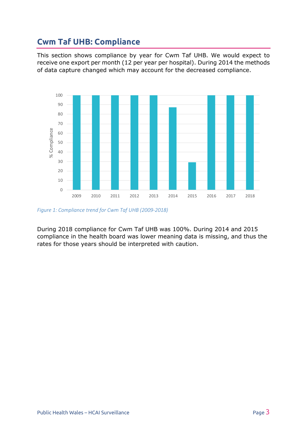#### <span id="page-3-0"></span>**Cwm Taf UHB: Compliance**

This section shows compliance by year for Cwm Taf UHB. We would expect to receive one export per month (12 per year per hospital). During 2014 the methods of data capture changed which may account for the decreased compliance.



*Figure 1: Compliance trend for Cwm Taf UHB (2009-2018)*

During 2018 compliance for Cwm Taf UHB was 100%. During 2014 and 2015 compliance in the health board was lower meaning data is missing, and thus the rates for those years should be interpreted with caution.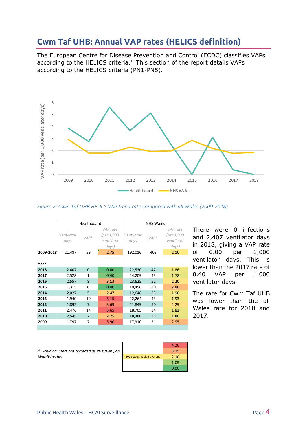#### <span id="page-4-0"></span>**Cwm Taf UHB: Annual VAP rates (HELICS definition)**

The European Centre for Disease Prevention and Control (ECDC) classifies VAPs according to the HELICS criteria.<sup>1</sup> This section of the report details VAPs according to the HELICS criteria (PN1-PN5).



#### *Figure 2: Cwm Taf UHB HELICS VAP trend rate compared with all Wales (2009-2018)*

|           | Healthboard        |                |                                      | <b>NHS Wales</b>   |        |                                      |
|-----------|--------------------|----------------|--------------------------------------|--------------------|--------|--------------------------------------|
|           | Ventilator<br>days | $VAP*$         | VAP rate<br>(per 1,000<br>ventilator | Ventilator<br>days | $VAP*$ | VAP rate<br>(per 1,000<br>ventilator |
| 2009-2018 | 21,487             | 59             | days)<br>2.75                        | 192,016            | 403    | days)<br>2.10                        |
| Year      |                    |                |                                      |                    |        |                                      |
| 2018      | 2,407              | $\mathbf{0}$   | 0.00                                 | 22,530             | 42     | 1.86                                 |
| 2017      | 2,528              | $\mathbf{1}$   | 0.40                                 | 24,209             | 43     | 1.78                                 |
| 2016      | 2,557              | 8              | 3.13                                 | 23,625             | 52     | 2.20                                 |
| 2015      | 1,315              | $\mathbf 0$    | 0.00                                 | 10,496             | 30     | 2.86                                 |
| 2014      | 2,027              | 5              | 2.47                                 | 12,648             | 25     | 1.98                                 |
| 2013      | 1,940              | 10             | 5.15                                 | 22,264             | 43     | 1.93                                 |
| 2012      | 1,895              | $\overline{7}$ | 3.69                                 | 21,849             | 50     | 2.29                                 |
| 2011      | 2,476              | 14             | 5.65                                 | 18,705             | 34     | 1.82                                 |
| 2010      | 2,545              | $\overline{7}$ | 2.75                                 | 18,380             | 33     | 1.80                                 |
| 2009      | 1,797              | 7              | 3.90                                 | 17,310             | 51     | 2.95                                 |
|           |                    |                |                                      |                    |        |                                      |
|           |                    |                |                                      |                    |        |                                      |

There were 0 infections and 2,407 ventilator days in 2018, giving a VAP rate of 0.00 per 1,000 ventilator days. This is lower than the 2017 rate of 0.40 VAP per 1,000 ventilator days.

The rate for Cwm Taf UHB was lower than the all Wales rate for 2018 and 2017.

*\*Excluding infections recorded as PNX (PN0) on WardWatcher.*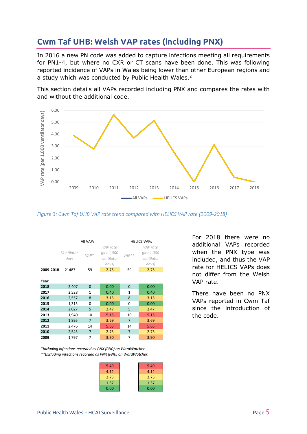#### <span id="page-5-0"></span>**Cwm Taf UHB: Welsh VAP rates (including PNX)**

In 2016 a new PN code was added to capture infections meeting all requirements for PN1-4, but where no CXR or CT scans have been done. This was following reported incidence of VAPs in Wales being lower than other European regions and a study which was conducted by Public Health Wales.<sup>2</sup>

This section details all VAPs recorded including PNX and compares the rates with and without the additional code.



*Figure 3: Cwm Taf UHB VAP rate trend compared with HELICS VAP rate (2009-2018)*

|           | All VAPs           |                |                          | <b>HELICS VAPS</b> |                          |  |
|-----------|--------------------|----------------|--------------------------|--------------------|--------------------------|--|
|           |                    |                | VAP rate                 |                    | VAP rate                 |  |
|           | Ventilator<br>days | $VAP*$         | (per 1,000<br>ventilator | $VAP**$            | (per 1,000<br>ventilator |  |
|           |                    |                | days)                    |                    | days)                    |  |
| 2009-2018 | 21487              | 59             | 2.75                     | 59                 | 2.75                     |  |
|           |                    |                |                          |                    |                          |  |
| Year      |                    |                |                          |                    |                          |  |
| 2018      | 2,407              | 0              | 0.00                     | $\mathbf 0$        | 0.00                     |  |
| 2017      | 2,528              | $\mathbf{1}$   | 0.40                     | $\mathbf{1}$       | 0.40                     |  |
| 2016      | 2,557              | 8              | 3.13                     | 8                  | 3.13                     |  |
| 2015      | 1,315              | 0              | 0.00                     | $\Omega$           | 0.00                     |  |
| 2014      | 2,027              | 5              | 2.47                     | 5                  | 2.47                     |  |
| 2013      | 1,940              | 10             | 5.15                     | 10                 | 5.15                     |  |
| 2012      | 1,895              | $\overline{7}$ | 3.69                     | $\overline{7}$     | 3.69                     |  |
| 2011      | 2,476              | 14             | 5.65                     | 14                 | 5.65                     |  |
| 2010      | 2,545              | $\overline{7}$ | 2.75                     | $\overline{7}$     | 2.75                     |  |
| 2009      | 1,797              | $\overline{7}$ | 3.90                     | 7                  | 3.90                     |  |

*\*\*Excluding infections recorded as PNX (PN0) on WardWatcher. \*Including infections recorded as PNX (PN0) on WardWatcher.*

| 5.49 | 5.49 |
|------|------|
| 4.12 | 4.12 |
| 2.75 | 2.75 |
| 1.37 | 1.37 |
| 0.00 | 0.00 |

For 2018 there were no additional VAPs recorded when the PNX type was included, and thus the VAP rate for HELICS VAPs does not differ from the Welsh VAP rate.

There have been no PNX VAPs reported in Cwm Taf since the introduction of the code.

 $\sim$   $\sim$ 

 $\sim$ 

 $\sim 10^{-1}$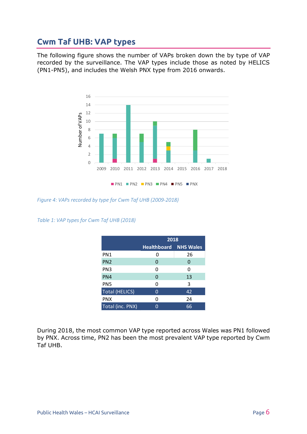#### <span id="page-6-0"></span>**Cwm Taf UHB: VAP types**

The following figure shows the number of VAPs broken down the by type of VAP recorded by the surveillance. The VAP types include those as noted by HELICS (PN1-PN5), and includes the Welsh PNX type from 2016 onwards.



*Figure 4: VAPs recorded by type for Cwm Taf UHB (2009-2018)*

*Table 1: VAP types for Cwm Taf UHB (2018)*

|                       | 2018                         |    |  |
|-----------------------|------------------------------|----|--|
|                       | <b>Healthboard NHS Wales</b> |    |  |
| PN1                   | 0                            | 26 |  |
| PN <sub>2</sub>       | 0                            | 0  |  |
| PN <sub>3</sub>       | 0                            | O  |  |
| PN4                   | 0                            | 13 |  |
| PN <sub>5</sub>       | 0                            | 3  |  |
| <b>Total (HELICS)</b> | 0                            | 42 |  |
| <b>PNX</b>            | 0                            | 24 |  |
| Total (inc. PNX)      |                              | 66 |  |

During 2018, the most common VAP type reported across Wales was PN1 followed by PNX. Across time, PN2 has been the most prevalent VAP type reported by Cwm Taf UHB.